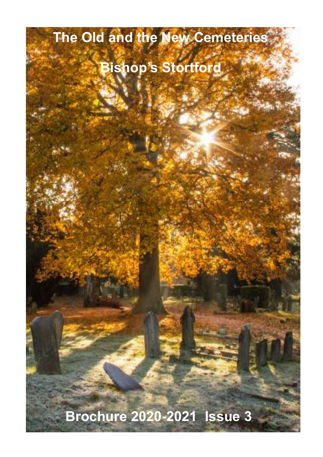# **The Old and the New Cemeteries**

## **Bishop's Stortford**

**Brochure 2020-2021 Issue 3**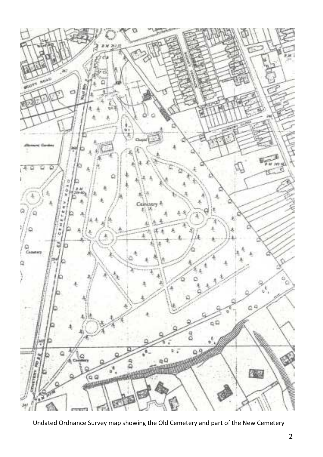

Undated Ordnance Survey map showing the Old Cemetery and part of the New Cemetery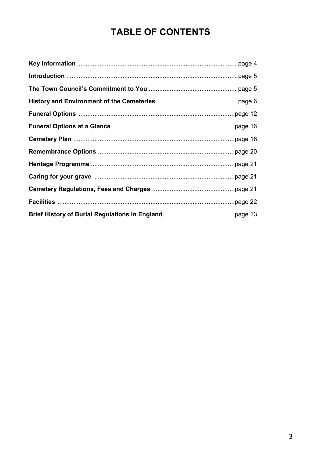## **TABLE OF CONTENTS**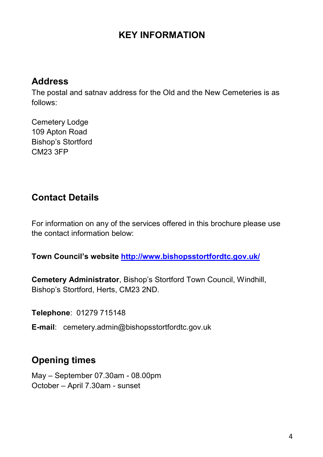## **KEY INFORMATION**

#### **Address**

The postal and satnav address for the Old and the New Cemeteries is as follows:

Cemetery Lodge 109 Apton Road Bishop's Stortford CM23 3FP

## **Contact Details**

For information on any of the services offered in this brochure please use the contact information below:

**Town Council's website http://www.bishopsstortfordtc.gov.uk/** 

**Cemetery Administrator**, Bishop's Stortford Town Council, Windhill, Bishop's Stortford, Herts, CM23 2ND.

**Telephone**: 01279 715148

**E-mail**: cemetery.admin@bishopsstortfordtc.gov.uk

## **Opening times**

May – September 07.30am - 08.00pm October – April 7.30am - sunset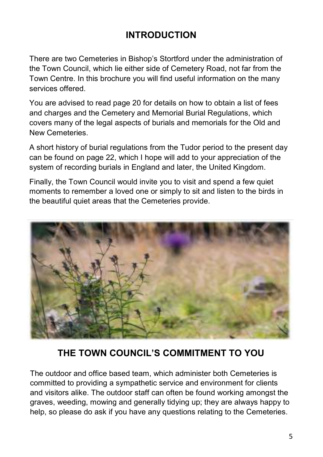## **INTRODUCTION**

There are two Cemeteries in Bishop's Stortford under the administration of the Town Council, which lie either side of Cemetery Road, not far from the Town Centre. In this brochure you will find useful information on the many services offered.

You are advised to read page 20 for details on how to obtain a list of fees and charges and the Cemetery and Memorial Burial Regulations, which covers many of the legal aspects of burials and memorials for the Old and New Cemeteries.

A short history of burial regulations from the Tudor period to the present day can be found on page 22, which I hope will add to your appreciation of the system of recording burials in England and later, the United Kingdom.

Finally, the Town Council would invite you to visit and spend a few quiet moments to remember a loved one or simply to sit and listen to the birds in the beautiful quiet areas that the Cemeteries provide.



## **THE TOWN COUNCIL'S COMMITMENT TO YOU**

The outdoor and office based team, which administer both Cemeteries is committed to providing a sympathetic service and environment for clients and visitors alike. The outdoor staff can often be found working amongst the graves, weeding, mowing and generally tidying up; they are always happy to help, so please do ask if you have any questions relating to the Cemeteries.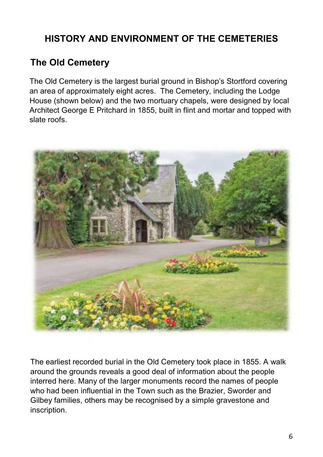## **HISTORY AND ENVIRONMENT OF THE CEMETERIES**

## **The Old Cemetery**

The Old Cemetery is the largest burial ground in Bishop's Stortford covering an area of approximately eight acres. The Cemetery, including the Lodge House (shown below) and the two mortuary chapels, were designed by local Architect George E Pritchard in 1855, built in flint and mortar and topped with slate roofs.



The earliest recorded burial in the Old Cemetery took place in 1855. A walk around the grounds reveals a good deal of information about the people interred here. Many of the larger monuments record the names of people who had been influential in the Town such as the Brazier, Sworder and Gilbey families, others may be recognised by a simple gravestone and inscription.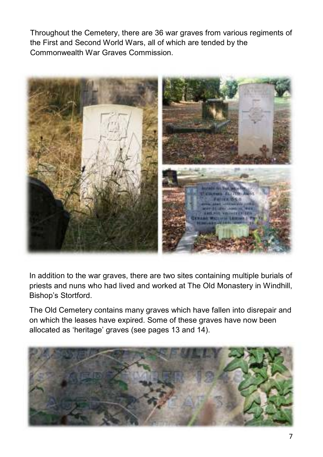Throughout the Cemetery, there are 36 war graves from various regiments of the First and Second World Wars, all of which are tended by the Commonwealth War Graves Commission.



In addition to the war graves, there are two sites containing multiple burials of priests and nuns who had lived and worked at The Old Monastery in Windhill, Bishop's Stortford.

The Old Cemetery contains many graves which have fallen into disrepair and on which the leases have expired. Some of these graves have now been allocated as 'heritage' graves (see pages 13 and 14).

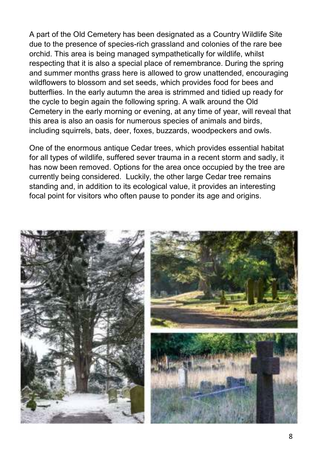A part of the Old Cemetery has been designated as a Country Wildlife Site due to the presence of species-rich grassland and colonies of the rare bee orchid. This area is being managed sympathetically for wildlife, whilst respecting that it is also a special place of remembrance. During the spring and summer months grass here is allowed to grow unattended, encouraging wildflowers to blossom and set seeds, which provides food for bees and butterflies. In the early autumn the area is strimmed and tidied up ready for the cycle to begin again the following spring. A walk around the Old Cemetery in the early morning or evening, at any time of year, will reveal that this area is also an oasis for numerous species of animals and birds, including squirrels, bats, deer, foxes, buzzards, woodpeckers and owls.

One of the enormous antique Cedar trees, which provides essential habitat for all types of wildlife, suffered sever trauma in a recent storm and sadly, it has now been removed. Options for the area once occupied by the tree are currently being considered. Luckily, the other large Cedar tree remains standing and, in addition to its ecological value, it provides an interesting focal point for visitors who often pause to ponder its age and origins.

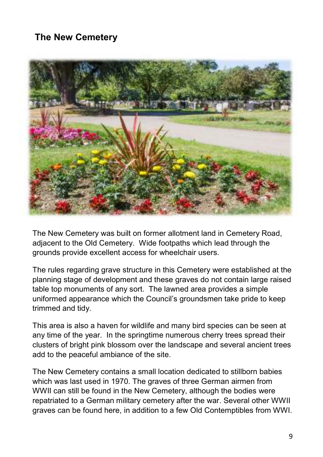## **The New Cemetery**



The New Cemetery was built on former allotment land in Cemetery Road, adjacent to the Old Cemetery. Wide footpaths which lead through the grounds provide excellent access for wheelchair users.

The rules regarding grave structure in this Cemetery were established at the planning stage of development and these graves do not contain large raised table top monuments of any sort. The lawned area provides a simple uniformed appearance which the Council's groundsmen take pride to keep trimmed and tidy.

This area is also a haven for wildlife and many bird species can be seen at any time of the year. In the springtime numerous cherry trees spread their clusters of bright pink blossom over the landscape and several ancient trees add to the peaceful ambiance of the site.

The New Cemetery contains a small location dedicated to stillborn babies which was last used in 1970. The graves of three German airmen from WWII can still be found in the New Cemetery, although the bodies were repatriated to a German military cemetery after the war. Several other WWII graves can be found here, in addition to a few Old Contemptibles from WWI.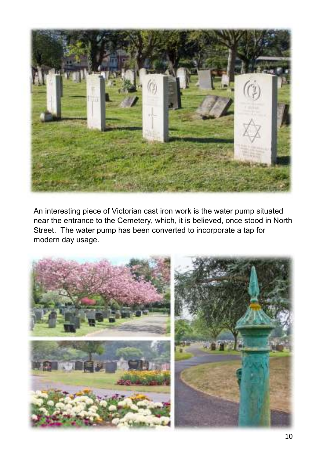

An interesting piece of Victorian cast iron work is the water pump situated near the entrance to the Cemetery, which, it is believed, once stood in North Street. The water pump has been converted to incorporate a tap for modern day usage.

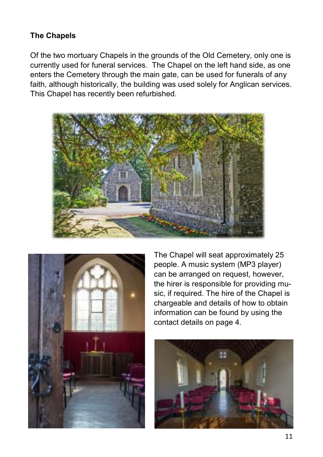#### **The Chapels**

Of the two mortuary Chapels in the grounds of the Old Cemetery, only one is currently used for funeral services. The Chapel on the left hand side, as one enters the Cemetery through the main gate, can be used for funerals of any faith, although historically, the building was used solely for Anglican services. This Chapel has recently been refurbished.





The Chapel will seat approximately 25 people. A music system (MP3 player) can be arranged on request, however, the hirer is responsible for providing music, if required. The hire of the Chapel is chargeable and details of how to obtain information can be found by using the contact details on page 4.

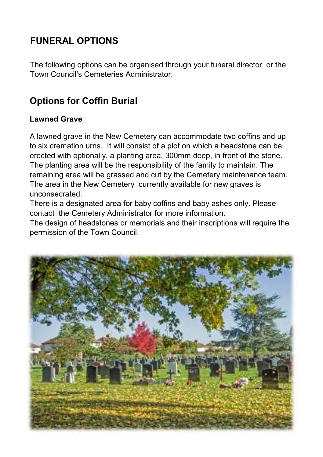## **FUNERAL OPTIONS**

The following options can be organised through your funeral director or the Town Council's Cemeteries Administrator.

## **Options for Coffin Burial**

#### **Lawned Grave**

A lawned grave in the New Cemetery can accommodate two coffins and up to six cremation urns. It will consist of a plot on which a headstone can be erected with optionally, a planting area, 300mm deep, in front of the stone. The planting area will be the responsibility of the family to maintain. The remaining area will be grassed and cut by the Cemetery maintenance team. The area in the New Cemetery currently available for new graves is unconsecrated.

There is a designated area for baby coffins and baby ashes only. Please contact the Cemetery Administrator for more information.

The design of headstones or memorials and their inscriptions will require the permission of the Town Council.

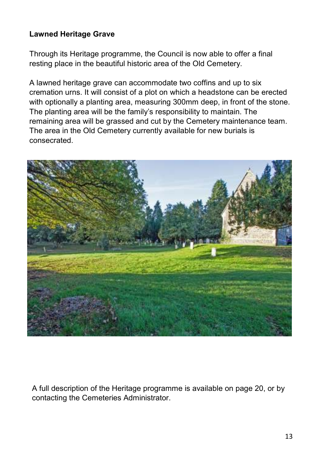#### **Lawned Heritage Grave**

Through its Heritage programme, the Council is now able to offer a final resting place in the beautiful historic area of the Old Cemetery.

A lawned heritage grave can accommodate two coffins and up to six cremation urns. It will consist of a plot on which a headstone can be erected with optionally a planting area, measuring 300mm deep, in front of the stone. The planting area will be the family's responsibility to maintain. The remaining area will be grassed and cut by the Cemetery maintenance team. The area in the Old Cemetery currently available for new burials is consecrated.



A full description of the Heritage programme is available on page 20, or by contacting the Cemeteries Administrator.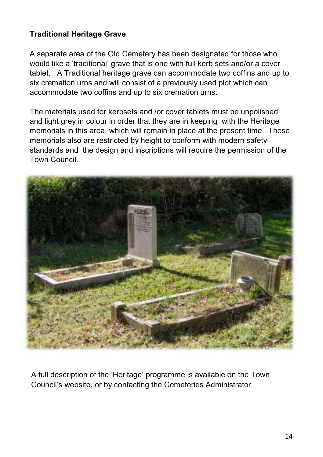#### **Traditional Heritage Grave**

A separate area of the Old Cemetery has been designated for those who would like a 'traditional' grave that is one with full kerb sets and/or a cover tablet. A Traditional heritage grave can accommodate two coffins and up to six cremation urns and will consist of a previously used plot which can accommodate two coffins and up to six cremation urns.

The materials used for kerbsets and /or cover tablets must be unpolished and light grey in colour in order that they are in keeping with the Heritage memorials in this area, which will remain in place at the present time. These memorials also are restricted by height to conform with modern safety standards and the design and inscriptions will require the permission of the Town Council.



A full description of the 'Heritage' programme is available on the Town Council's website, or by contacting the Cemeteries Administrator.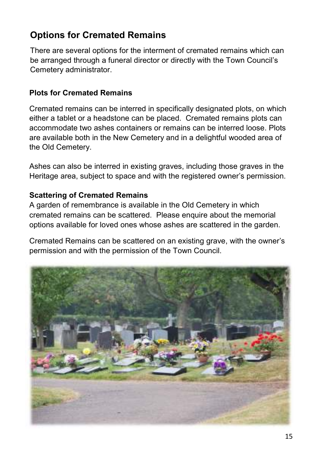## **Options for Cremated Remains**

There are several options for the interment of cremated remains which can be arranged through a funeral director or directly with the Town Council's Cemetery administrator.

#### **Plots for Cremated Remains**

Cremated remains can be interred in specifically designated plots, on which either a tablet or a headstone can be placed. Cremated remains plots can accommodate two ashes containers or remains can be interred loose. Plots are available both in the New Cemetery and in a delightful wooded area of the Old Cemetery.

Ashes can also be interred in existing graves, including those graves in the Heritage area, subject to space and with the registered owner's permission.

#### **Scattering of Cremated Remains**

A garden of remembrance is available in the Old Cemetery in which cremated remains can be scattered. Please enquire about the memorial options available for loved ones whose ashes are scattered in the garden.

Cremated Remains can be scattered on an existing grave, with the owner's permission and with the permission of the Town Council.

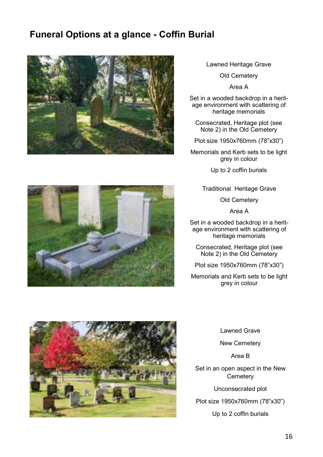## **Funeral Options at a glance - Coffin Burial**



Lawned Heritage Grave

Old Cemetery

Area A

Set in a wooded backdrop in a heritage environment with scattering of heritage memorials

Consecrated, Heritage plot (see Note 2) in the Old Cemetery

Plot size 1950x760mm (78"x30")

Memorials and Kerb sets to be light grey in colour

Up to 2 coffin burials

Traditional Heritage Grave

Old Cemetery

Area A

Set in a wooded backdrop in a heritage environment with scattering of heritage memorials

Consecrated, Heritage plot (see Note 2) in the Old Cemetery

Plot size 1950x760mm (78"x30")

Memorials and Kerb sets to be light grey in colour



Lawned Grave

New Cemetery

Area B

Set in an open aspect in the New **Cemetery** 

Unconsecrated plot

Plot size 1950x760mm (78"x30")

Up to 2 coffin burials

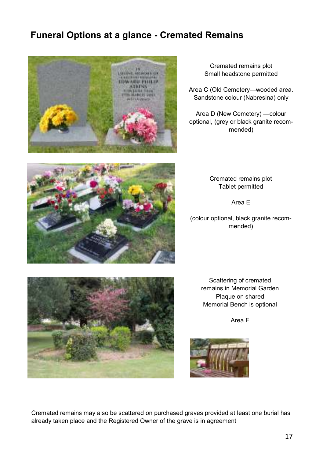## **Funeral Options at a glance - Cremated Remains**



Cremated remains plot Small headstone permitted

Area C (Old Cemetery—wooded area. Sandstone colour (Nabresina) only

Area D (New Cemetery) —colour optional, (grey or black granite recommended)

> Cremated remains plot Tablet permitted

> > Area E

(colour optional, black granite recommended)



Scattering of cremated remains in Memorial Garden Plaque on shared Memorial Bench is optional

Area F



Cremated remains may also be scattered on purchased graves provided at least one burial has already taken place and the Registered Owner of the grave is in agreement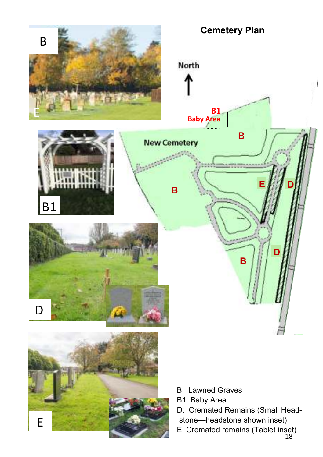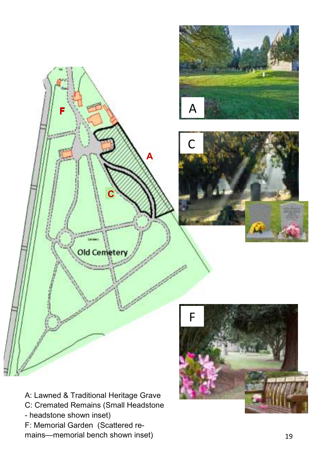





A: Lawned & Traditional Heritage Grave C: Cremated Remains (Small Headstone - headstone shown inset) F: Memorial Garden (Scattered remains—memorial bench shown inset)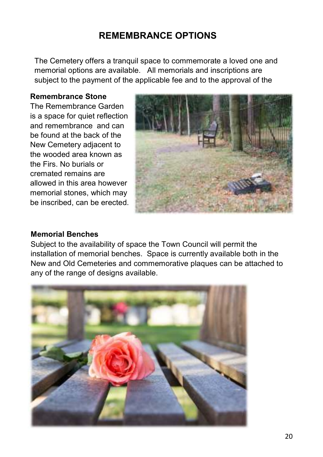## **REMEMBRANCE OPTIONS**

The Cemetery offers a tranquil space to commemorate a loved one and memorial options are available. All memorials and inscriptions are subject to the payment of the applicable fee and to the approval of the

#### **Remembrance Stone**

The Remembrance Garden is a space for quiet reflection and remembrance and can be found at the back of the New Cemetery adjacent to the wooded area known as the Firs. No burials or cremated remains are allowed in this area however memorial stones, which may be inscribed, can be erected.



#### **Memorial Benches**

Subject to the availability of space the Town Council will permit the installation of memorial benches. Space is currently available both in the New and Old Cemeteries and commemorative plaques can be attached to any of the range of designs available.

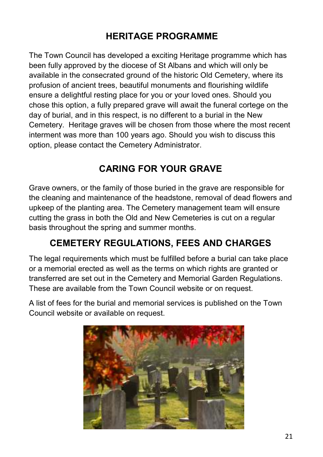## **HERITAGE PROGRAMME**

The Town Council has developed a exciting Heritage programme which has been fully approved by the diocese of St Albans and which will only be available in the consecrated ground of the historic Old Cemetery, where its profusion of ancient trees, beautiful monuments and flourishing wildlife ensure a delightful resting place for you or your loved ones. Should you chose this option, a fully prepared grave will await the funeral cortege on the day of burial, and in this respect, is no different to a burial in the New Cemetery. Heritage graves will be chosen from those where the most recent interment was more than 100 years ago. Should you wish to discuss this option, please contact the Cemetery Administrator.

## **CARING FOR YOUR GRAVE**

Grave owners, or the family of those buried in the grave are responsible for the cleaning and maintenance of the headstone, removal of dead flowers and upkeep of the planting area. The Cemetery management team will ensure cutting the grass in both the Old and New Cemeteries is cut on a regular basis throughout the spring and summer months.

## **CEMETERY REGULATIONS, FEES AND CHARGES**

The legal requirements which must be fulfilled before a burial can take place or a memorial erected as well as the terms on which rights are granted or transferred are set out in the Cemetery and Memorial Garden Regulations. These are available from the Town Council website or on request.

A list of fees for the burial and memorial services is published on the Town Council website or available on request.

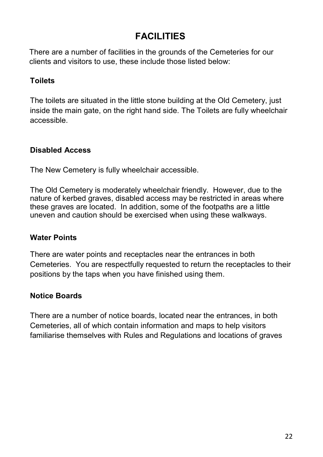## **FACILITIES**

There are a number of facilities in the grounds of the Cemeteries for our clients and visitors to use, these include those listed below:

#### **Toilets**

The toilets are situated in the little stone building at the Old Cemetery, just inside the main gate, on the right hand side. The Toilets are fully wheelchair accessible.

#### **Disabled Access**

The New Cemetery is fully wheelchair accessible.

The Old Cemetery is moderately wheelchair friendly. However, due to the nature of kerbed graves, disabled access may be restricted in areas where these graves are located. In addition, some of the footpaths are a little uneven and caution should be exercised when using these walkways.

#### **Water Points**

There are water points and receptacles near the entrances in both Cemeteries. You are respectfully requested to return the receptacles to their positions by the taps when you have finished using them.

#### **Notice Boards**

There are a number of notice boards, located near the entrances, in both Cemeteries, all of which contain information and maps to help visitors familiarise themselves with Rules and Regulations and locations of graves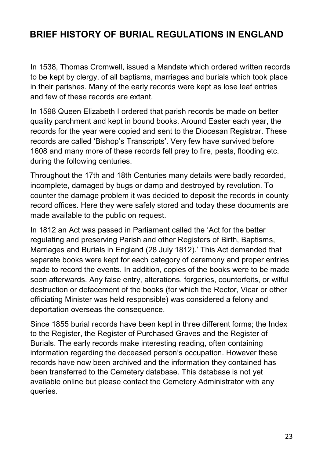## **BRIEF HISTORY OF BURIAL REGULATIONS IN ENGLAND**

In 1538, Thomas Cromwell, issued a Mandate which ordered written records to be kept by clergy, of all baptisms, marriages and burials which took place in their parishes. Many of the early records were kept as lose leaf entries and few of these records are extant.

In 1598 Queen Elizabeth I ordered that parish records be made on better quality parchment and kept in bound books. Around Easter each year, the records for the year were copied and sent to the Diocesan Registrar. These records are called 'Bishop's Transcripts'. Very few have survived before 1608 and many more of these records fell prey to fire, pests, flooding etc. during the following centuries.

Throughout the 17th and 18th Centuries many details were badly recorded, incomplete, damaged by bugs or damp and destroyed by revolution. To counter the damage problem it was decided to deposit the records in county record offices. Here they were safely stored and today these documents are made available to the public on request.

In 1812 an Act was passed in Parliament called the 'Act for the better regulating and preserving Parish and other Registers of Birth, Baptisms, Marriages and Burials in England (28 July 1812).' This Act demanded that separate books were kept for each category of ceremony and proper entries made to record the events. In addition, copies of the books were to be made soon afterwards. Any false entry, alterations, forgeries, counterfeits, or wilful destruction or defacement of the books (for which the Rector, Vicar or other officiating Minister was held responsible) was considered a felony and deportation overseas the consequence.

Since 1855 burial records have been kept in three different forms; the Index to the Register, the Register of Purchased Graves and the Register of Burials. The early records make interesting reading, often containing information regarding the deceased person's occupation. However these records have now been archived and the information they contained has been transferred to the Cemetery database. This database is not yet available online but please contact the Cemetery Administrator with any queries.